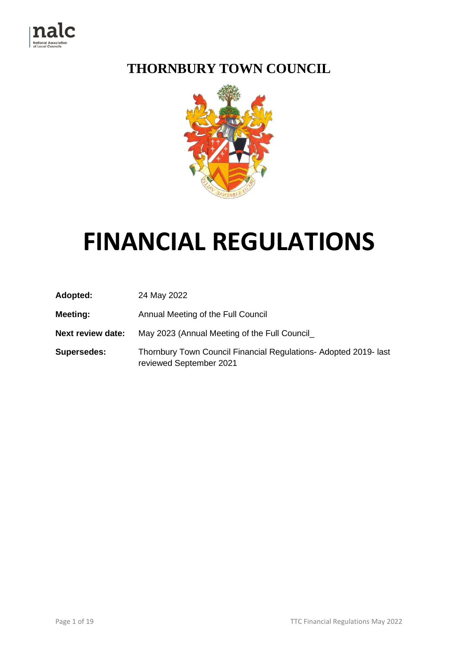

## **THORNBURY TOWN COUNCIL**



# **FINANCIAL REGULATIONS**

| Adopted:                 | 24 May 2022                                                                                 |  |  |
|--------------------------|---------------------------------------------------------------------------------------------|--|--|
| Meeting:                 | Annual Meeting of the Full Council                                                          |  |  |
| <b>Next review date:</b> | May 2023 (Annual Meeting of the Full Council                                                |  |  |
| <b>Supersedes:</b>       | Thornbury Town Council Financial Regulations- Adopted 2019- last<br>reviewed September 2021 |  |  |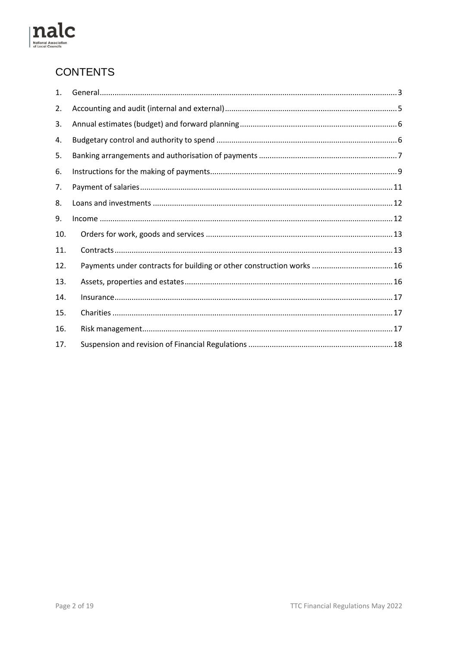

### **CONTENTS**

| 1.  |                                                                       |  |
|-----|-----------------------------------------------------------------------|--|
| 2.  |                                                                       |  |
| 3.  |                                                                       |  |
| 4.  |                                                                       |  |
| 5.  |                                                                       |  |
| 6.  |                                                                       |  |
| 7.  |                                                                       |  |
| 8.  |                                                                       |  |
| 9.  |                                                                       |  |
| 10. |                                                                       |  |
| 11. |                                                                       |  |
| 12. | Payments under contracts for building or other construction works  16 |  |
| 13. |                                                                       |  |
| 14. |                                                                       |  |
| 15. |                                                                       |  |
| 16. |                                                                       |  |
| 17. |                                                                       |  |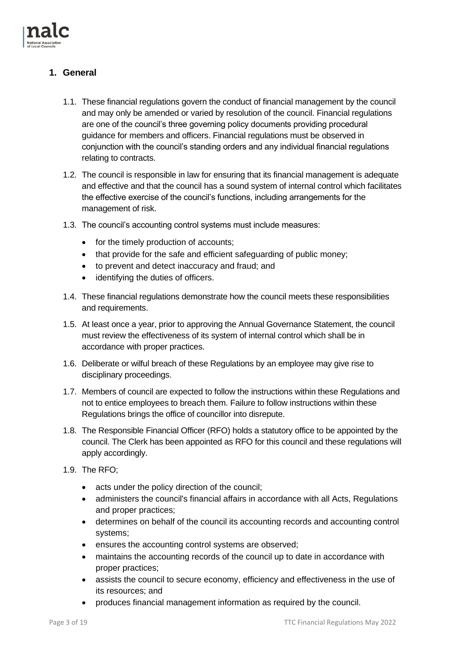

#### <span id="page-2-0"></span>**1. General**

- 1.1. These financial regulations govern the conduct of financial management by the council and may only be amended or varied by resolution of the council. Financial regulations are one of the council's three governing policy documents providing procedural guidance for members and officers. Financial regulations must be observed in conjunction with the council's standing orders and any individual financial regulations relating to contracts.
- 1.2. The council is responsible in law for ensuring that its financial management is adequate and effective and that the council has a sound system of internal control which facilitates the effective exercise of the council's functions, including arrangements for the management of risk.
- 1.3. The council's accounting control systems must include measures:
	- for the timely production of accounts;
	- that provide for the safe and efficient safeguarding of public money;
	- to prevent and detect inaccuracy and fraud; and
	- identifying the duties of officers.
- 1.4. These financial regulations demonstrate how the council meets these responsibilities and requirements.
- 1.5. At least once a year, prior to approving the Annual Governance Statement, the council must review the effectiveness of its system of internal control which shall be in accordance with proper practices.
- 1.6. Deliberate or wilful breach of these Regulations by an employee may give rise to disciplinary proceedings.
- 1.7. Members of council are expected to follow the instructions within these Regulations and not to entice employees to breach them. Failure to follow instructions within these Regulations brings the office of councillor into disrepute.
- 1.8. The Responsible Financial Officer (RFO) holds a statutory office to be appointed by the council. The Clerk has been appointed as RFO for this council and these regulations will apply accordingly.
- 1.9. The RFO;
	- acts under the policy direction of the council;
	- administers the council's financial affairs in accordance with all Acts, Regulations and proper practices;
	- determines on behalf of the council its accounting records and accounting control systems;
	- ensures the accounting control systems are observed;
	- maintains the accounting records of the council up to date in accordance with proper practices;
	- assists the council to secure economy, efficiency and effectiveness in the use of its resources; and
	- produces financial management information as required by the council.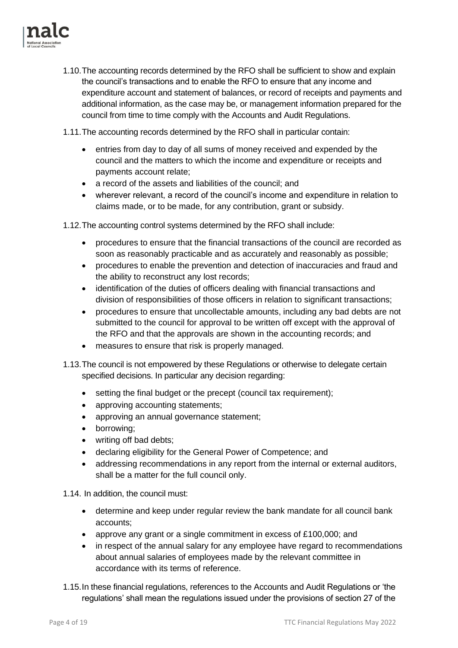

1.10.The accounting records determined by the RFO shall be sufficient to show and explain the council's transactions and to enable the RFO to ensure that any income and expenditure account and statement of balances, or record of receipts and payments and additional information, as the case may be, or management information prepared for the council from time to time comply with the Accounts and Audit Regulations.

1.11.The accounting records determined by the RFO shall in particular contain:

- entries from day to day of all sums of money received and expended by the council and the matters to which the income and expenditure or receipts and payments account relate;
- a record of the assets and liabilities of the council; and
- wherever relevant, a record of the council's income and expenditure in relation to claims made, or to be made, for any contribution, grant or subsidy.

1.12.The accounting control systems determined by the RFO shall include:

- procedures to ensure that the financial transactions of the council are recorded as soon as reasonably practicable and as accurately and reasonably as possible;
- procedures to enable the prevention and detection of inaccuracies and fraud and the ability to reconstruct any lost records;
- identification of the duties of officers dealing with financial transactions and division of responsibilities of those officers in relation to significant transactions;
- procedures to ensure that uncollectable amounts, including any bad debts are not submitted to the council for approval to be written off except with the approval of the RFO and that the approvals are shown in the accounting records; and
- measures to ensure that risk is properly managed.
- 1.13.The council is not empowered by these Regulations or otherwise to delegate certain specified decisions. In particular any decision regarding:
	- setting the final budget or the precept (council tax requirement):
	- approving accounting statements;
	- approving an annual governance statement;
	- borrowing;
	- writing off bad debts;
	- declaring eligibility for the General Power of Competence; and
	- addressing recommendations in any report from the internal or external auditors, shall be a matter for the full council only.

1.14. In addition, the council must:

- determine and keep under regular review the bank mandate for all council bank accounts;
- approve any grant or a single commitment in excess of £100,000; and
- in respect of the annual salary for any employee have regard to recommendations about annual salaries of employees made by the relevant committee in accordance with its terms of reference.
- 1.15.In these financial regulations, references to the Accounts and Audit Regulations or 'the regulations' shall mean the regulations issued under the provisions of section 27 of the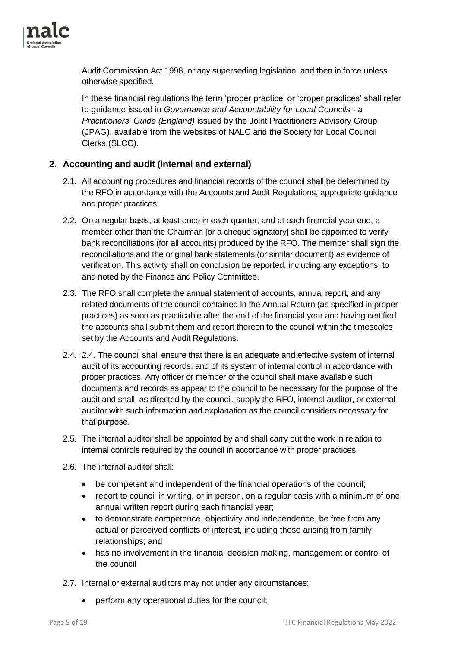

Audit Commission Act 1998, or any superseding legislation, and then in force unless otherwise specified.

In these financial regulations the term 'proper practice' or 'proper practices' shall refer to guidance issued in *Governance and Accountability for Local Councils - a Practitioners' Guide (England)* issued by the Joint Practitioners Advisory Group (JPAG), available from the websites of NALC and the Society for Local Council Clerks (SLCC).

#### <span id="page-4-0"></span>**2. Accounting and audit (internal and external)**

- 2.1. All accounting procedures and financial records of the council shall be determined by the RFO in accordance with the Accounts and Audit Regulations, appropriate guidance and proper practices.
- 2.2. On a regular basis, at least once in each quarter, and at each financial year end, a member other than the Chairman [or a cheque signatory] shall be appointed to verify bank reconciliations (for all accounts) produced by the RFO. The member shall sign the reconciliations and the original bank statements (or similar document) as evidence of verification. This activity shall on conclusion be reported, including any exceptions, to and noted by the Finance and Policy Committee.
- 2.3. The RFO shall complete the annual statement of accounts, annual report, and any related documents of the council contained in the Annual Return (as specified in proper practices) as soon as practicable after the end of the financial year and having certified the accounts shall submit them and report thereon to the council within the timescales set by the Accounts and Audit Regulations.
- 2.4. 2.4. The council shall ensure that there is an adequate and effective system of internal audit of its accounting records, and of its system of internal control in accordance with proper practices. Any officer or member of the council shall make available such documents and records as appear to the council to be necessary for the purpose of the audit and shall, as directed by the council, supply the RFO, internal auditor, or external auditor with such information and explanation as the council considers necessary for that purpose.
- 2.5. The internal auditor shall be appointed by and shall carry out the work in relation to internal controls required by the council in accordance with proper practices.
- 2.6. The internal auditor shall:
	- be competent and independent of the financial operations of the council;
	- report to council in writing, or in person, on a regular basis with a minimum of one annual written report during each financial year;
	- to demonstrate competence, objectivity and independence, be free from any actual or perceived conflicts of interest, including those arising from family relationships; and
	- has no involvement in the financial decision making, management or control of the council
- 2.7. Internal or external auditors may not under any circumstances:
	- perform any operational duties for the council;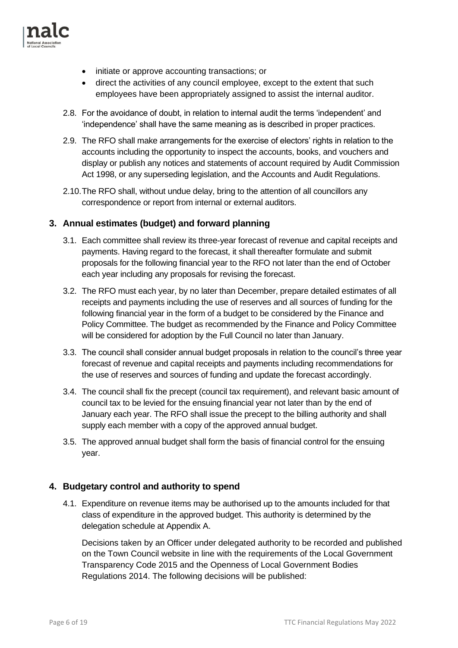

- initiate or approve accounting transactions; or
- direct the activities of any council employee, except to the extent that such employees have been appropriately assigned to assist the internal auditor.
- 2.8. For the avoidance of doubt, in relation to internal audit the terms 'independent' and 'independence' shall have the same meaning as is described in proper practices.
- 2.9. The RFO shall make arrangements for the exercise of electors' rights in relation to the accounts including the opportunity to inspect the accounts, books, and vouchers and display or publish any notices and statements of account required by Audit Commission Act 1998, or any superseding legislation, and the Accounts and Audit Regulations.
- 2.10.The RFO shall, without undue delay, bring to the attention of all councillors any correspondence or report from internal or external auditors.

#### <span id="page-5-0"></span>**3. Annual estimates (budget) and forward planning**

- 3.1. Each committee shall review its three-year forecast of revenue and capital receipts and payments. Having regard to the forecast, it shall thereafter formulate and submit proposals for the following financial year to the RFO not later than the end of October each year including any proposals for revising the forecast.
- 3.2. The RFO must each year, by no later than December, prepare detailed estimates of all receipts and payments including the use of reserves and all sources of funding for the following financial year in the form of a budget to be considered by the Finance and Policy Committee. The budget as recommended by the Finance and Policy Committee will be considered for adoption by the Full Council no later than January.
- 3.3. The council shall consider annual budget proposals in relation to the council's three year forecast of revenue and capital receipts and payments including recommendations for the use of reserves and sources of funding and update the forecast accordingly.
- 3.4. The council shall fix the precept (council tax requirement), and relevant basic amount of council tax to be levied for the ensuing financial year not later than by the end of January each year. The RFO shall issue the precept to the billing authority and shall supply each member with a copy of the approved annual budget.
- 3.5. The approved annual budget shall form the basis of financial control for the ensuing year.

#### <span id="page-5-1"></span>**4. Budgetary control and authority to spend**

4.1. Expenditure on revenue items may be authorised up to the amounts included for that class of expenditure in the approved budget. This authority is determined by the delegation schedule at Appendix A.

Decisions taken by an Officer under delegated authority to be recorded and published on the Town Council website in line with the requirements of the Local Government Transparency Code 2015 and the Openness of Local Government Bodies Regulations 2014. The following decisions will be published: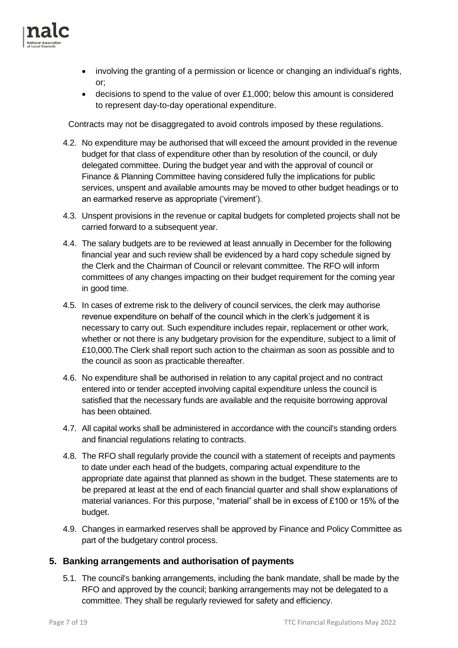

- involving the granting of a permission or licence or changing an individual's rights, or;
- decisions to spend to the value of over £1,000; below this amount is considered to represent day-to-day operational expenditure.

Contracts may not be disaggregated to avoid controls imposed by these regulations.

- 4.2. No expenditure may be authorised that will exceed the amount provided in the revenue budget for that class of expenditure other than by resolution of the council, or duly delegated committee. During the budget year and with the approval of council or Finance & Planning Committee having considered fully the implications for public services, unspent and available amounts may be moved to other budget headings or to an earmarked reserve as appropriate ('virement').
- 4.3. Unspent provisions in the revenue or capital budgets for completed projects shall not be carried forward to a subsequent year.
- 4.4. The salary budgets are to be reviewed at least annually in December for the following financial year and such review shall be evidenced by a hard copy schedule signed by the Clerk and the Chairman of Council or relevant committee. The RFO will inform committees of any changes impacting on their budget requirement for the coming year in good time.
- 4.5. In cases of extreme risk to the delivery of council services, the clerk may authorise revenue expenditure on behalf of the council which in the clerk's judgement it is necessary to carry out. Such expenditure includes repair, replacement or other work, whether or not there is any budgetary provision for the expenditure, subject to a limit of £10,000.The Clerk shall report such action to the chairman as soon as possible and to the council as soon as practicable thereafter.
- 4.6. No expenditure shall be authorised in relation to any capital project and no contract entered into or tender accepted involving capital expenditure unless the council is satisfied that the necessary funds are available and the requisite borrowing approval has been obtained.
- 4.7. All capital works shall be administered in accordance with the council's standing orders and financial regulations relating to contracts.
- 4.8. The RFO shall regularly provide the council with a statement of receipts and payments to date under each head of the budgets, comparing actual expenditure to the appropriate date against that planned as shown in the budget. These statements are to be prepared at least at the end of each financial quarter and shall show explanations of material variances. For this purpose, "material" shall be in excess of £100 or 15% of the budget.
- 4.9. Changes in earmarked reserves shall be approved by Finance and Policy Committee as part of the budgetary control process.

#### <span id="page-6-0"></span>**5. Banking arrangements and authorisation of payments**

5.1. The council's banking arrangements, including the bank mandate, shall be made by the RFO and approved by the council; banking arrangements may not be delegated to a committee. They shall be regularly reviewed for safety and efficiency.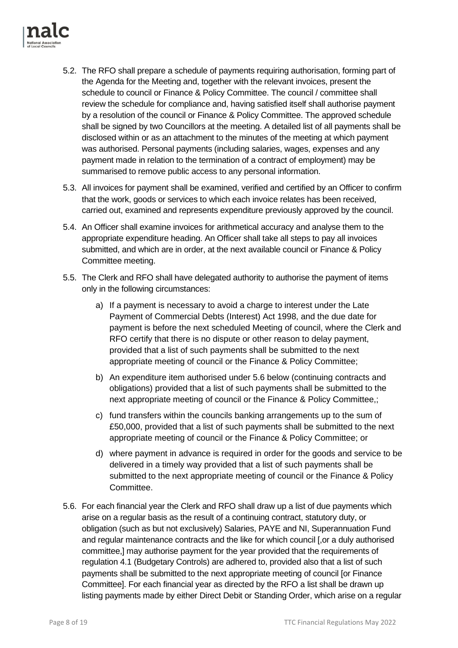

- 5.2. The RFO shall prepare a schedule of payments requiring authorisation, forming part of the Agenda for the Meeting and, together with the relevant invoices, present the schedule to council or Finance & Policy Committee. The council / committee shall review the schedule for compliance and, having satisfied itself shall authorise payment by a resolution of the council or Finance & Policy Committee. The approved schedule shall be signed by two Councillors at the meeting. A detailed list of all payments shall be disclosed within or as an attachment to the minutes of the meeting at which payment was authorised. Personal payments (including salaries, wages, expenses and any payment made in relation to the termination of a contract of employment) may be summarised to remove public access to any personal information.
- 5.3. All invoices for payment shall be examined, verified and certified by an Officer to confirm that the work, goods or services to which each invoice relates has been received, carried out, examined and represents expenditure previously approved by the council.
- 5.4. An Officer shall examine invoices for arithmetical accuracy and analyse them to the appropriate expenditure heading. An Officer shall take all steps to pay all invoices submitted, and which are in order, at the next available council or Finance & Policy Committee meeting.
- 5.5. The Clerk and RFO shall have delegated authority to authorise the payment of items only in the following circumstances:
	- a) If a payment is necessary to avoid a charge to interest under the Late Payment of Commercial Debts (Interest) Act 1998, and the due date for payment is before the next scheduled Meeting of council, where the Clerk and RFO certify that there is no dispute or other reason to delay payment, provided that a list of such payments shall be submitted to the next appropriate meeting of council or the Finance & Policy Committee;
	- b) An expenditure item authorised under 5.6 below (continuing contracts and obligations) provided that a list of such payments shall be submitted to the next appropriate meeting of council or the Finance & Policy Committee,;
	- c) fund transfers within the councils banking arrangements up to the sum of £50,000, provided that a list of such payments shall be submitted to the next appropriate meeting of council or the Finance & Policy Committee; or
	- d) where payment in advance is required in order for the goods and service to be delivered in a timely way provided that a list of such payments shall be submitted to the next appropriate meeting of council or the Finance & Policy Committee.
- 5.6. For each financial year the Clerk and RFO shall draw up a list of due payments which arise on a regular basis as the result of a continuing contract, statutory duty, or obligation (such as but not exclusively) Salaries, PAYE and NI, Superannuation Fund and regular maintenance contracts and the like for which council [,or a duly authorised committee,] may authorise payment for the year provided that the requirements of regulation 4.1 (Budgetary Controls) are adhered to, provided also that a list of such payments shall be submitted to the next appropriate meeting of council [or Finance Committee]. For each financial year as directed by the RFO a list shall be drawn up listing payments made by either Direct Debit or Standing Order, which arise on a regular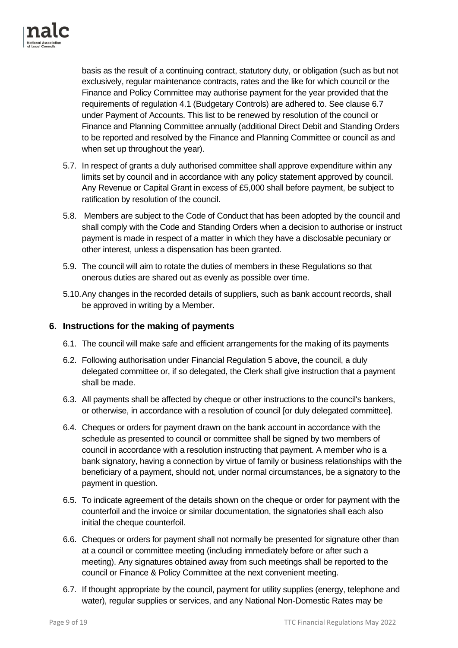

basis as the result of a continuing contract, statutory duty, or obligation (such as but not exclusively, regular maintenance contracts, rates and the like for which council or the Finance and Policy Committee may authorise payment for the year provided that the requirements of regulation 4.1 (Budgetary Controls) are adhered to. See clause 6.7 under Payment of Accounts. This list to be renewed by resolution of the council or Finance and Planning Committee annually (additional Direct Debit and Standing Orders to be reported and resolved by the Finance and Planning Committee or council as and when set up throughout the year).

- 5.7. In respect of grants a duly authorised committee shall approve expenditure within any limits set by council and in accordance with any policy statement approved by council. Any Revenue or Capital Grant in excess of £5,000 shall before payment, be subject to ratification by resolution of the council.
- 5.8. Members are subject to the Code of Conduct that has been adopted by the council and shall comply with the Code and Standing Orders when a decision to authorise or instruct payment is made in respect of a matter in which they have a disclosable pecuniary or other interest, unless a dispensation has been granted.
- 5.9. The council will aim to rotate the duties of members in these Regulations so that onerous duties are shared out as evenly as possible over time.
- 5.10.Any changes in the recorded details of suppliers, such as bank account records, shall be approved in writing by a Member.

#### <span id="page-8-0"></span>**6. Instructions for the making of payments**

- 6.1. The council will make safe and efficient arrangements for the making of its payments
- 6.2. Following authorisation under Financial Regulation 5 above, the council, a duly delegated committee or, if so delegated, the Clerk shall give instruction that a payment shall be made.
- 6.3. All payments shall be affected by cheque or other instructions to the council's bankers, or otherwise, in accordance with a resolution of council [or duly delegated committee].
- 6.4. Cheques or orders for payment drawn on the bank account in accordance with the schedule as presented to council or committee shall be signed by two members of council in accordance with a resolution instructing that payment. A member who is a bank signatory, having a connection by virtue of family or business relationships with the beneficiary of a payment, should not, under normal circumstances, be a signatory to the payment in question.
- 6.5. To indicate agreement of the details shown on the cheque or order for payment with the counterfoil and the invoice or similar documentation, the signatories shall each also initial the cheque counterfoil.
- 6.6. Cheques or orders for payment shall not normally be presented for signature other than at a council or committee meeting (including immediately before or after such a meeting). Any signatures obtained away from such meetings shall be reported to the council or Finance & Policy Committee at the next convenient meeting.
- 6.7. If thought appropriate by the council, payment for utility supplies (energy, telephone and water), regular supplies or services, and any National Non-Domestic Rates may be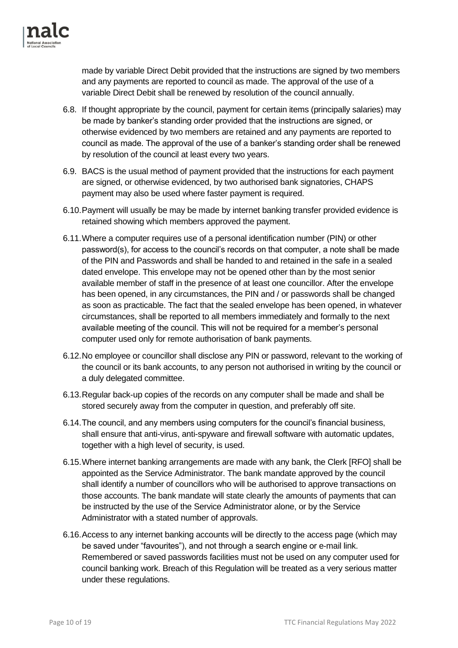

made by variable Direct Debit provided that the instructions are signed by two members and any payments are reported to council as made. The approval of the use of a variable Direct Debit shall be renewed by resolution of the council annually.

- 6.8. If thought appropriate by the council, payment for certain items (principally salaries) may be made by banker's standing order provided that the instructions are signed, or otherwise evidenced by two members are retained and any payments are reported to council as made. The approval of the use of a banker's standing order shall be renewed by resolution of the council at least every two years.
- 6.9. BACS is the usual method of payment provided that the instructions for each payment are signed, or otherwise evidenced, by two authorised bank signatories, CHAPS payment may also be used where faster payment is required.
- 6.10.Payment will usually be may be made by internet banking transfer provided evidence is retained showing which members approved the payment.
- 6.11.Where a computer requires use of a personal identification number (PIN) or other password(s), for access to the council's records on that computer, a note shall be made of the PIN and Passwords and shall be handed to and retained in the safe in a sealed dated envelope. This envelope may not be opened other than by the most senior available member of staff in the presence of at least one councillor. After the envelope has been opened, in any circumstances, the PIN and / or passwords shall be changed as soon as practicable. The fact that the sealed envelope has been opened, in whatever circumstances, shall be reported to all members immediately and formally to the next available meeting of the council. This will not be required for a member's personal computer used only for remote authorisation of bank payments.
- 6.12.No employee or councillor shall disclose any PIN or password, relevant to the working of the council or its bank accounts, to any person not authorised in writing by the council or a duly delegated committee.
- 6.13.Regular back-up copies of the records on any computer shall be made and shall be stored securely away from the computer in question, and preferably off site.
- 6.14.The council, and any members using computers for the council's financial business, shall ensure that anti-virus, anti-spyware and firewall software with automatic updates, together with a high level of security, is used.
- 6.15.Where internet banking arrangements are made with any bank, the Clerk [RFO] shall be appointed as the Service Administrator. The bank mandate approved by the council shall identify a number of councillors who will be authorised to approve transactions on those accounts. The bank mandate will state clearly the amounts of payments that can be instructed by the use of the Service Administrator alone, or by the Service Administrator with a stated number of approvals.
- 6.16.Access to any internet banking accounts will be directly to the access page (which may be saved under "favourites"), and not through a search engine or e-mail link. Remembered or saved passwords facilities must not be used on any computer used for council banking work. Breach of this Regulation will be treated as a very serious matter under these regulations.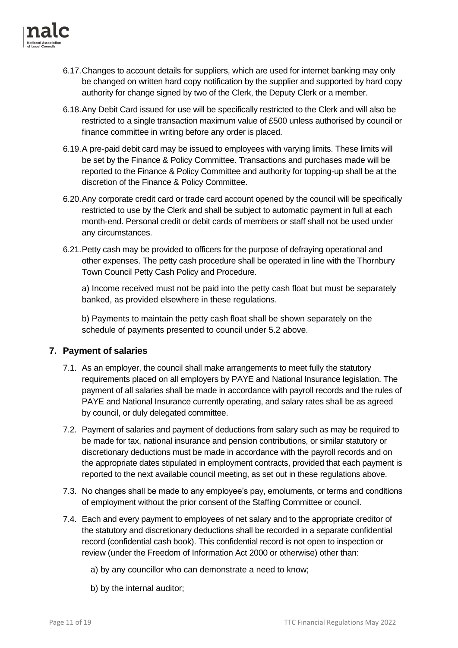

- 6.17.Changes to account details for suppliers, which are used for internet banking may only be changed on written hard copy notification by the supplier and supported by hard copy authority for change signed by two of the Clerk, the Deputy Clerk or a member.
- 6.18.Any Debit Card issued for use will be specifically restricted to the Clerk and will also be restricted to a single transaction maximum value of £500 unless authorised by council or finance committee in writing before any order is placed.
- 6.19.A pre-paid debit card may be issued to employees with varying limits. These limits will be set by the Finance & Policy Committee. Transactions and purchases made will be reported to the Finance & Policy Committee and authority for topping-up shall be at the discretion of the Finance & Policy Committee.
- 6.20.Any corporate credit card or trade card account opened by the council will be specifically restricted to use by the Clerk and shall be subject to automatic payment in full at each month-end. Personal credit or debit cards of members or staff shall not be used under any circumstances.
- 6.21.Petty cash may be provided to officers for the purpose of defraying operational and other expenses. The petty cash procedure shall be operated in line with the Thornbury Town Council Petty Cash Policy and Procedure.

a) Income received must not be paid into the petty cash float but must be separately banked, as provided elsewhere in these regulations.

b) Payments to maintain the petty cash float shall be shown separately on the schedule of payments presented to council under 5.2 above.

#### <span id="page-10-0"></span>**7. Payment of salaries**

- 7.1. As an employer, the council shall make arrangements to meet fully the statutory requirements placed on all employers by PAYE and National Insurance legislation. The payment of all salaries shall be made in accordance with payroll records and the rules of PAYE and National Insurance currently operating, and salary rates shall be as agreed by council, or duly delegated committee.
- 7.2. Payment of salaries and payment of deductions from salary such as may be required to be made for tax, national insurance and pension contributions, or similar statutory or discretionary deductions must be made in accordance with the payroll records and on the appropriate dates stipulated in employment contracts, provided that each payment is reported to the next available council meeting, as set out in these regulations above.
- 7.3. No changes shall be made to any employee's pay, emoluments, or terms and conditions of employment without the prior consent of the Staffing Committee or council.
- 7.4. Each and every payment to employees of net salary and to the appropriate creditor of the statutory and discretionary deductions shall be recorded in a separate confidential record (confidential cash book). This confidential record is not open to inspection or review (under the Freedom of Information Act 2000 or otherwise) other than:
	- a) by any councillor who can demonstrate a need to know;
	- b) by the internal auditor;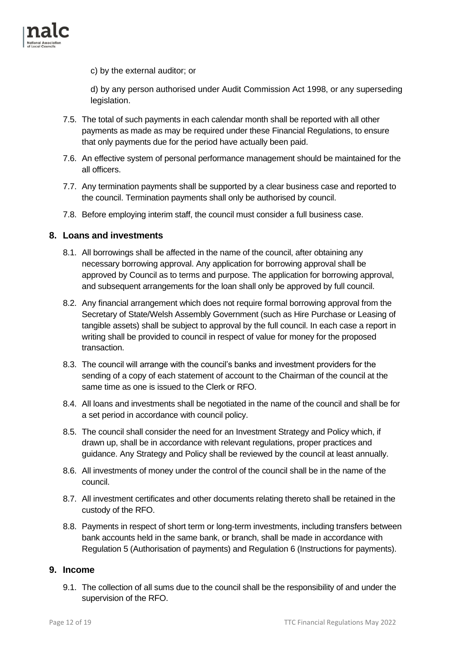

c) by the external auditor; or

d) by any person authorised under Audit Commission Act 1998, or any superseding legislation.

- 7.5. The total of such payments in each calendar month shall be reported with all other payments as made as may be required under these Financial Regulations, to ensure that only payments due for the period have actually been paid.
- 7.6. An effective system of personal performance management should be maintained for the all officers.
- 7.7. Any termination payments shall be supported by a clear business case and reported to the council. Termination payments shall only be authorised by council.
- 7.8. Before employing interim staff, the council must consider a full business case.

#### <span id="page-11-0"></span>**8. Loans and investments**

- 8.1. All borrowings shall be affected in the name of the council, after obtaining any necessary borrowing approval. Any application for borrowing approval shall be approved by Council as to terms and purpose. The application for borrowing approval, and subsequent arrangements for the loan shall only be approved by full council.
- 8.2. Any financial arrangement which does not require formal borrowing approval from the Secretary of State/Welsh Assembly Government (such as Hire Purchase or Leasing of tangible assets) shall be subject to approval by the full council. In each case a report in writing shall be provided to council in respect of value for money for the proposed transaction.
- 8.3. The council will arrange with the council's banks and investment providers for the sending of a copy of each statement of account to the Chairman of the council at the same time as one is issued to the Clerk or RFO.
- 8.4. All loans and investments shall be negotiated in the name of the council and shall be for a set period in accordance with council policy.
- 8.5. The council shall consider the need for an Investment Strategy and Policy which, if drawn up, shall be in accordance with relevant regulations, proper practices and guidance. Any Strategy and Policy shall be reviewed by the council at least annually.
- 8.6. All investments of money under the control of the council shall be in the name of the council.
- 8.7. All investment certificates and other documents relating thereto shall be retained in the custody of the RFO.
- 8.8. Payments in respect of short term or long-term investments, including transfers between bank accounts held in the same bank, or branch, shall be made in accordance with Regulation 5 (Authorisation of payments) and Regulation 6 (Instructions for payments).

#### <span id="page-11-1"></span>**9. Income**

9.1. The collection of all sums due to the council shall be the responsibility of and under the supervision of the RFO.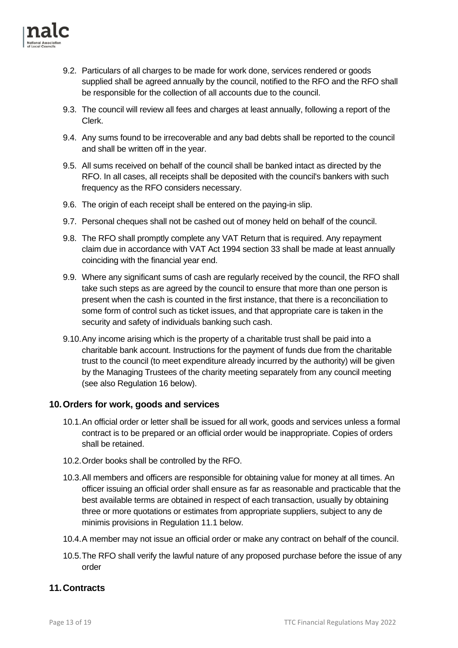

- 9.2. Particulars of all charges to be made for work done, services rendered or goods supplied shall be agreed annually by the council, notified to the RFO and the RFO shall be responsible for the collection of all accounts due to the council.
- 9.3. The council will review all fees and charges at least annually, following a report of the Clerk.
- 9.4. Any sums found to be irrecoverable and any bad debts shall be reported to the council and shall be written off in the year.
- 9.5. All sums received on behalf of the council shall be banked intact as directed by the RFO. In all cases, all receipts shall be deposited with the council's bankers with such frequency as the RFO considers necessary.
- 9.6. The origin of each receipt shall be entered on the paying-in slip.
- 9.7. Personal cheques shall not be cashed out of money held on behalf of the council.
- 9.8. The RFO shall promptly complete any VAT Return that is required. Any repayment claim due in accordance with VAT Act 1994 section 33 shall be made at least annually coinciding with the financial year end.
- 9.9. Where any significant sums of cash are regularly received by the council, the RFO shall take such steps as are agreed by the council to ensure that more than one person is present when the cash is counted in the first instance, that there is a reconciliation to some form of control such as ticket issues, and that appropriate care is taken in the security and safety of individuals banking such cash.
- 9.10.Any income arising which is the property of a charitable trust shall be paid into a charitable bank account. Instructions for the payment of funds due from the charitable trust to the council (to meet expenditure already incurred by the authority) will be given by the Managing Trustees of the charity meeting separately from any council meeting (see also Regulation 16 below).

#### <span id="page-12-0"></span>**10.Orders for work, goods and services**

- 10.1.An official order or letter shall be issued for all work, goods and services unless a formal contract is to be prepared or an official order would be inappropriate. Copies of orders shall be retained.
- 10.2.Order books shall be controlled by the RFO.
- 10.3.All members and officers are responsible for obtaining value for money at all times. An officer issuing an official order shall ensure as far as reasonable and practicable that the best available terms are obtained in respect of each transaction, usually by obtaining three or more quotations or estimates from appropriate suppliers, subject to any de minimis provisions in Regulation 11.1 below.
- 10.4.A member may not issue an official order or make any contract on behalf of the council.
- 10.5.The RFO shall verify the lawful nature of any proposed purchase before the issue of any order

#### <span id="page-12-1"></span>**11.Contracts**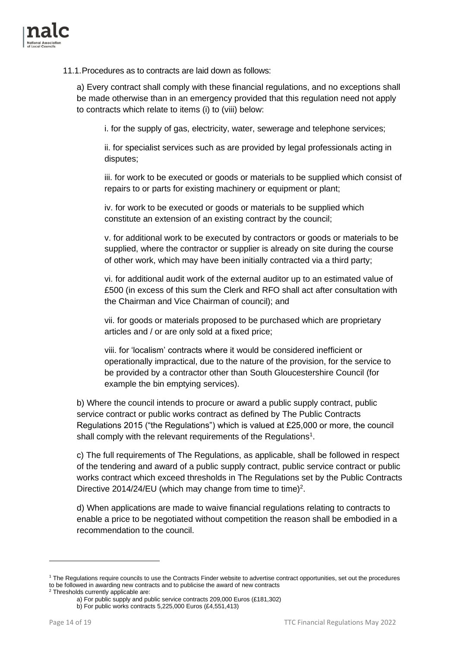

11.1.Procedures as to contracts are laid down as follows:

a) Every contract shall comply with these financial regulations, and no exceptions shall be made otherwise than in an emergency provided that this regulation need not apply to contracts which relate to items (i) to (viii) below:

i. for the supply of gas, electricity, water, sewerage and telephone services;

ii. for specialist services such as are provided by legal professionals acting in disputes;

iii. for work to be executed or goods or materials to be supplied which consist of repairs to or parts for existing machinery or equipment or plant;

iv. for work to be executed or goods or materials to be supplied which constitute an extension of an existing contract by the council;

v. for additional work to be executed by contractors or goods or materials to be supplied, where the contractor or supplier is already on site during the course of other work, which may have been initially contracted via a third party;

vi. for additional audit work of the external auditor up to an estimated value of £500 (in excess of this sum the Clerk and RFO shall act after consultation with the Chairman and Vice Chairman of council); and

vii. for goods or materials proposed to be purchased which are proprietary articles and / or are only sold at a fixed price;

viii. for 'localism' contracts where it would be considered inefficient or operationally impractical, due to the nature of the provision, for the service to be provided by a contractor other than South Gloucestershire Council (for example the bin emptying services).

b) Where the council intends to procure or award a public supply contract, public service contract or public works contract as defined by The Public Contracts Regulations 2015 ("the Regulations") which is valued at £25,000 or more, the council shall comply with the relevant requirements of the Regulations<sup>1</sup>.

c) The full requirements of The Regulations, as applicable, shall be followed in respect of the tendering and award of a public supply contract, public service contract or public works contract which exceed thresholds in The Regulations set by the Public Contracts Directive 2014/24/EU (which may change from time to time)<sup>2</sup>.

d) When applications are made to waive financial regulations relating to contracts to enable a price to be negotiated without competition the reason shall be embodied in a recommendation to the council.

<sup>&</sup>lt;sup>1</sup> The Regulations require councils to use the Contracts Finder website to advertise contract opportunities, set out the procedures to be followed in awarding new contracts and to publicise the award of new contracts

<sup>2</sup> Thresholds currently applicable are:

a) For public supply and public service contracts 209,000 Euros (£181,302)

b) For public works contracts 5,225,000 Euros (£4,551,413)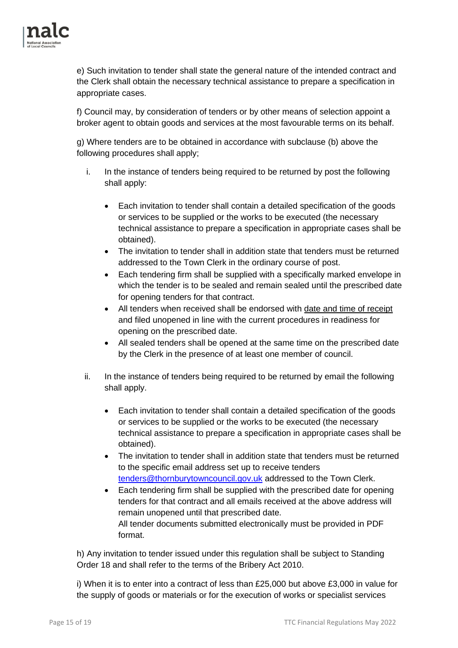

e) Such invitation to tender shall state the general nature of the intended contract and the Clerk shall obtain the necessary technical assistance to prepare a specification in appropriate cases.

f) Council may, by consideration of tenders or by other means of selection appoint a broker agent to obtain goods and services at the most favourable terms on its behalf.

g) Where tenders are to be obtained in accordance with subclause (b) above the following procedures shall apply;

- i. In the instance of tenders being required to be returned by post the following shall apply:
	- Each invitation to tender shall contain a detailed specification of the goods or services to be supplied or the works to be executed (the necessary technical assistance to prepare a specification in appropriate cases shall be obtained).
	- The invitation to tender shall in addition state that tenders must be returned addressed to the Town Clerk in the ordinary course of post.
	- Each tendering firm shall be supplied with a specifically marked envelope in which the tender is to be sealed and remain sealed until the prescribed date for opening tenders for that contract.
	- All tenders when received shall be endorsed with date and time of receipt and filed unopened in line with the current procedures in readiness for opening on the prescribed date.
	- All sealed tenders shall be opened at the same time on the prescribed date by the Clerk in the presence of at least one member of council.
- ii. In the instance of tenders being required to be returned by email the following shall apply.
	- Each invitation to tender shall contain a detailed specification of the goods or services to be supplied or the works to be executed (the necessary technical assistance to prepare a specification in appropriate cases shall be obtained).
	- The invitation to tender shall in addition state that tenders must be returned to the specific email address set up to receive tenders [tenders@thornburytowncouncil.gov.uk](mailto:tenders@thornburytowncouncil.gov.uk) addressed to the Town Clerk.
	- Each tendering firm shall be supplied with the prescribed date for opening tenders for that contract and all emails received at the above address will remain unopened until that prescribed date. All tender documents submitted electronically must be provided in PDF format.

h) Any invitation to tender issued under this regulation shall be subject to Standing Order 18 and shall refer to the terms of the Bribery Act 2010.

i) When it is to enter into a contract of less than £25,000 but above £3,000 in value for the supply of goods or materials or for the execution of works or specialist services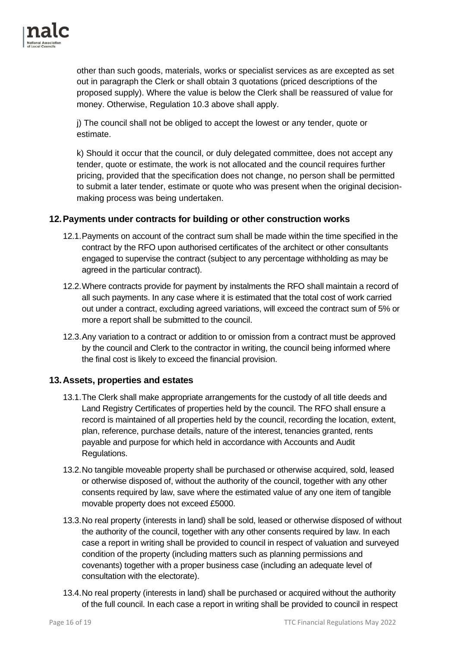

other than such goods, materials, works or specialist services as are excepted as set out in paragraph the Clerk or shall obtain 3 quotations (priced descriptions of the proposed supply). Where the value is below the Clerk shall be reassured of value for money. Otherwise, Regulation 10.3 above shall apply.

j) The council shall not be obliged to accept the lowest or any tender, quote or estimate.

k) Should it occur that the council, or duly delegated committee, does not accept any tender, quote or estimate, the work is not allocated and the council requires further pricing, provided that the specification does not change, no person shall be permitted to submit a later tender, estimate or quote who was present when the original decisionmaking process was being undertaken.

#### <span id="page-15-0"></span>**12.Payments under contracts for building or other construction works**

- 12.1.Payments on account of the contract sum shall be made within the time specified in the contract by the RFO upon authorised certificates of the architect or other consultants engaged to supervise the contract (subject to any percentage withholding as may be agreed in the particular contract).
- 12.2.Where contracts provide for payment by instalments the RFO shall maintain a record of all such payments. In any case where it is estimated that the total cost of work carried out under a contract, excluding agreed variations, will exceed the contract sum of 5% or more a report shall be submitted to the council.
- 12.3.Any variation to a contract or addition to or omission from a contract must be approved by the council and Clerk to the contractor in writing, the council being informed where the final cost is likely to exceed the financial provision.

#### <span id="page-15-1"></span>**13.Assets, properties and estates**

- 13.1.The Clerk shall make appropriate arrangements for the custody of all title deeds and Land Registry Certificates of properties held by the council. The RFO shall ensure a record is maintained of all properties held by the council, recording the location, extent, plan, reference, purchase details, nature of the interest, tenancies granted, rents payable and purpose for which held in accordance with Accounts and Audit Regulations.
- 13.2.No tangible moveable property shall be purchased or otherwise acquired, sold, leased or otherwise disposed of, without the authority of the council, together with any other consents required by law, save where the estimated value of any one item of tangible movable property does not exceed £5000.
- 13.3.No real property (interests in land) shall be sold, leased or otherwise disposed of without the authority of the council, together with any other consents required by law. In each case a report in writing shall be provided to council in respect of valuation and surveyed condition of the property (including matters such as planning permissions and covenants) together with a proper business case (including an adequate level of consultation with the electorate).
- 13.4.No real property (interests in land) shall be purchased or acquired without the authority of the full council. In each case a report in writing shall be provided to council in respect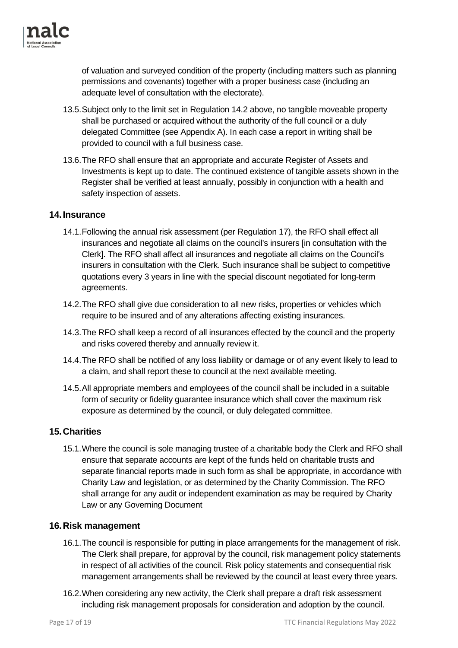

of valuation and surveyed condition of the property (including matters such as planning permissions and covenants) together with a proper business case (including an adequate level of consultation with the electorate).

- 13.5.Subject only to the limit set in Regulation 14.2 above, no tangible moveable property shall be purchased or acquired without the authority of the full council or a duly delegated Committee (see Appendix A). In each case a report in writing shall be provided to council with a full business case.
- 13.6.The RFO shall ensure that an appropriate and accurate Register of Assets and Investments is kept up to date. The continued existence of tangible assets shown in the Register shall be verified at least annually, possibly in conjunction with a health and safety inspection of assets.

#### <span id="page-16-0"></span>**14.Insurance**

- 14.1.Following the annual risk assessment (per Regulation 17), the RFO shall effect all insurances and negotiate all claims on the council's insurers [in consultation with the Clerk]. The RFO shall affect all insurances and negotiate all claims on the Council's insurers in consultation with the Clerk. Such insurance shall be subject to competitive quotations every 3 years in line with the special discount negotiated for long-term agreements.
- 14.2.The RFO shall give due consideration to all new risks, properties or vehicles which require to be insured and of any alterations affecting existing insurances.
- 14.3.The RFO shall keep a record of all insurances effected by the council and the property and risks covered thereby and annually review it.
- 14.4.The RFO shall be notified of any loss liability or damage or of any event likely to lead to a claim, and shall report these to council at the next available meeting.
- 14.5.All appropriate members and employees of the council shall be included in a suitable form of security or fidelity guarantee insurance which shall cover the maximum risk exposure as determined by the council, or duly delegated committee.

#### <span id="page-16-1"></span>**15.Charities**

15.1.Where the council is sole managing trustee of a charitable body the Clerk and RFO shall ensure that separate accounts are kept of the funds held on charitable trusts and separate financial reports made in such form as shall be appropriate, in accordance with Charity Law and legislation, or as determined by the Charity Commission. The RFO shall arrange for any audit or independent examination as may be required by Charity Law or any Governing Document

#### <span id="page-16-2"></span>**16.Risk management**

- 16.1.The council is responsible for putting in place arrangements for the management of risk. The Clerk shall prepare, for approval by the council, risk management policy statements in respect of all activities of the council. Risk policy statements and consequential risk management arrangements shall be reviewed by the council at least every three years.
- 16.2.When considering any new activity, the Clerk shall prepare a draft risk assessment including risk management proposals for consideration and adoption by the council.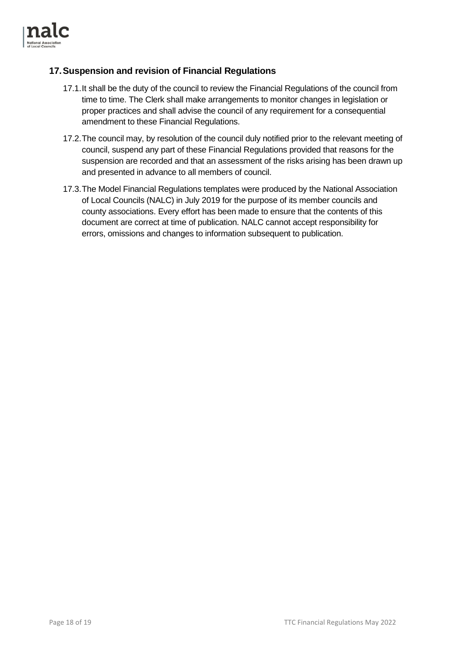

#### <span id="page-17-0"></span>**17.Suspension and revision of Financial Regulations**

- 17.1.It shall be the duty of the council to review the Financial Regulations of the council from time to time. The Clerk shall make arrangements to monitor changes in legislation or proper practices and shall advise the council of any requirement for a consequential amendment to these Financial Regulations.
- 17.2.The council may, by resolution of the council duly notified prior to the relevant meeting of council, suspend any part of these Financial Regulations provided that reasons for the suspension are recorded and that an assessment of the risks arising has been drawn up and presented in advance to all members of council.
- 17.3.The Model Financial Regulations templates were produced by the National Association of Local Councils (NALC) in July 2019 for the purpose of its member councils and county associations. Every effort has been made to ensure that the contents of this document are correct at time of publication. NALC cannot accept responsibility for errors, omissions and changes to information subsequent to publication.